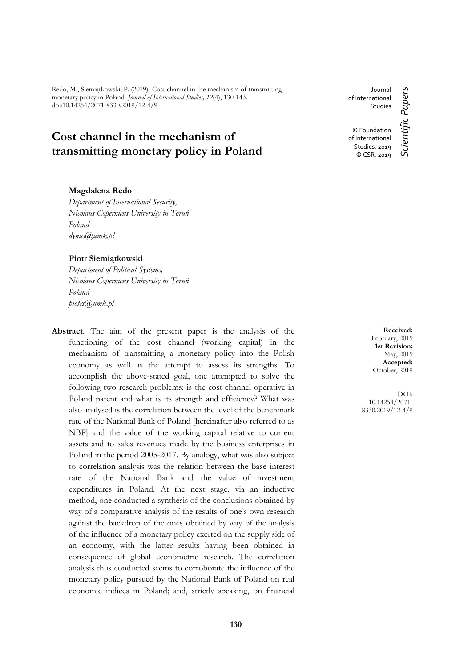Redo, M., Siemiątkowski, P. (2019). Cost channel in the mechanism of transmitting monetary policy in Poland. *Journal of International Studies, 12*(4), 130-143. doi:10.14254/2071-8330.2019/12-4/9

# **Cost channel in the mechanism of transmitting monetary policy in Poland**

#### **Magdalena Redo**

*Department of International Security, Nicolaus Copernicus University in Toruń Poland dynus@umk.pl*

#### **Piotr Siemiątkowski**

*Department of Political Systems, Nicolaus Copernicus University in Toruń Poland piotrs@umk.pl*

**Abstract**. The aim of the present paper is the analysis of the functioning of the cost channel (working capital) in the mechanism of transmitting a monetary policy into the Polish economy as well as the attempt to assess its strengths. To accomplish the above-stated goal, one attempted to solve the following two research problems: is the cost channel operative in Poland patent and what is its strength and efficiency? What was also analysed is the correlation between the level of the benchmark rate of the National Bank of Poland [hereinafter also referred to as NBP] and the value of the working capital relative to current assets and to sales revenues made by the business enterprises in Poland in the period 2005-2017. By analogy, what was also subject to correlation analysis was the relation between the base interest rate of the National Bank and the value of investment expenditures in Poland. At the next stage, via an inductive method, one conducted a synthesis of the conclusions obtained by way of a comparative analysis of the results of one's own research against the backdrop of the ones obtained by way of the analysis of the influence of a monetary policy exerted on the supply side of an economy, with the latter results having been obtained in consequence of global econometric research. The correlation analysis thus conducted seems to corroborate the influence of the monetary policy pursued by the National Bank of Poland on real economic indices in Poland; and, strictly speaking, on financial

Journal of International Studies © Foundation of International Studies, 2019 © CSR, 2019

Scientific Papers *Scientific Papers*

**Received:** February, 2019 **1st Revision:** May, 2019 **Accepted:** October, 2019

DOI: 10.14254/2071- 8330.2019/12-4/9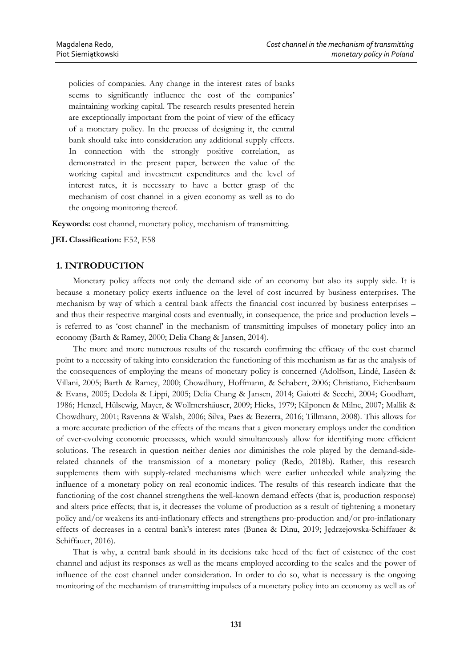policies of companies. Any change in the interest rates of banks seems to significantly influence the cost of the companies' maintaining working capital. The research results presented herein are exceptionally important from the point of view of the efficacy of a monetary policy. In the process of designing it, the central bank should take into consideration any additional supply effects. In connection with the strongly positive correlation, as demonstrated in the present paper, between the value of the working capital and investment expenditures and the level of interest rates, it is necessary to have a better grasp of the mechanism of cost channel in a given economy as well as to do the ongoing monitoring thereof.

**Keywords:** cost channel, monetary policy, mechanism of transmitting.

#### **JEL Classification:** E52, E58

#### **1. INTRODUCTION**

Monetary policy affects not only the demand side of an economy but also its supply side. It is because a monetary policy exerts influence on the level of cost incurred by business enterprises. The mechanism by way of which a central bank affects the financial cost incurred by business enterprises – and thus their respective marginal costs and eventually, in consequence, the price and production levels – is referred to as 'cost channel' in the mechanism of transmitting impulses of monetary policy into an economy (Barth & Ramey, 2000; Delia Chang & Jansen, 2014).

The more and more numerous results of the research confirming the efficacy of the cost channel point to a necessity of taking into consideration the functioning of this mechanism as far as the analysis of the consequences of employing the means of monetary policy is concerned (Adolfson, Lindé, Laséen & Villani, 2005; Barth & Ramey, 2000; Chowdhury, Hoffmann, & Schabert, 2006; Christiano, Eichenbaum & Evans, 2005; Dedola & Lippi, 2005; Delia Chang & Jansen, 2014; Gaiotti & Secchi, 2004; Goodhart, 1986; Henzel, Hülsewig, Mayer, & Wollmershäuser, 2009; Hicks, 1979; Kilponen & Milne, 2007; Mallik & Chowdhury, 2001; Ravenna & Walsh, 2006; Silva, Paes & Bezerra, 2016; Tillmann, 2008). This allows for a more accurate prediction of the effects of the means that a given monetary employs under the condition of ever-evolving economic processes, which would simultaneously allow for identifying more efficient solutions. The research in question neither denies nor diminishes the role played by the demand-siderelated channels of the transmission of a monetary policy (Redo, 2018b). Rather, this research supplements them with supply-related mechanisms which were earlier unheeded while analyzing the influence of a monetary policy on real economic indices. The results of this research indicate that the functioning of the cost channel strengthens the well-known demand effects (that is, production response) and alters price effects; that is, it decreases the volume of production as a result of tightening a monetary policy and/or weakens its anti-inflationary effects and strengthens pro-production and/or pro-inflationary effects of decreases in a central bank's interest rates (Bunea & Dinu, 2019; Jędrzejowska-Schiffauer & Schiffauer, 2016).

That is why, a central bank should in its decisions take heed of the fact of existence of the cost channel and adjust its responses as well as the means employed according to the scales and the power of influence of the cost channel under consideration. In order to do so, what is necessary is the ongoing monitoring of the mechanism of transmitting impulses of a monetary policy into an economy as well as of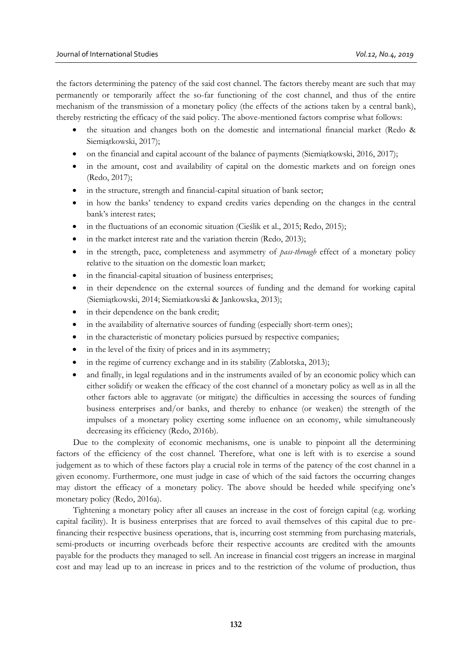the factors determining the patency of the said cost channel. The factors thereby meant are such that may permanently or temporarily affect the so-far functioning of the cost channel, and thus of the entire mechanism of the transmission of a monetary policy (the effects of the actions taken by a central bank), thereby restricting the efficacy of the said policy. The above-mentioned factors comprise what follows:

- the situation and changes both on the domestic and international financial market (Redo & Siemiątkowski, 2017);
- on the financial and capital account of the balance of payments (Siemiątkowski, 2016, 2017);
- in the amount, cost and availability of capital on the domestic markets and on foreign ones (Redo, 2017);
- in the structure, strength and financial-capital situation of bank sector;
- in how the banks' tendency to expand credits varies depending on the changes in the central bank's interest rates;
- in the fluctuations of an economic situation (Cieślik et al., 2015; Redo, 2015);
- in the market interest rate and the variation therein (Redo, 2013);
- in the strength, pace, completeness and asymmetry of *pass-through* effect of a monetary policy relative to the situation on the domestic loan market;
- in the financial-capital situation of business enterprises;
- in their dependence on the external sources of funding and the demand for working capital (Siemiątkowski, 2014; Siemiatkowski & Jankowska, 2013);
- in their dependence on the bank credit;
- in the availability of alternative sources of funding (especially short-term ones);
- in the characteristic of monetary policies pursued by respective companies;
- in the level of the fixity of prices and in its asymmetry;
- in the regime of currency exchange and in its stability (Zablotska, 2013);
- and finally, in legal regulations and in the instruments availed of by an economic policy which can either solidify or weaken the efficacy of the cost channel of a monetary policy as well as in all the other factors able to aggravate (or mitigate) the difficulties in accessing the sources of funding business enterprises and/or banks, and thereby to enhance (or weaken) the strength of the impulses of a monetary policy exerting some influence on an economy, while simultaneously decreasing its efficiency (Redo, 2016b).

Due to the complexity of economic mechanisms, one is unable to pinpoint all the determining factors of the efficiency of the cost channel. Therefore, what one is left with is to exercise a sound judgement as to which of these factors play a crucial role in terms of the patency of the cost channel in a given economy. Furthermore, one must judge in case of which of the said factors the occurring changes may distort the efficacy of a monetary policy. The above should be heeded while specifying one's monetary policy (Redo, 2016a).

Tightening a monetary policy after all causes an increase in the cost of foreign capital (e.g. working capital facility). It is business enterprises that are forced to avail themselves of this capital due to prefinancing their respective business operations, that is, incurring cost stemming from purchasing materials, semi-products or incurring overheads before their respective accounts are credited with the amounts payable for the products they managed to sell. An increase in financial cost triggers an increase in marginal cost and may lead up to an increase in prices and to the restriction of the volume of production, thus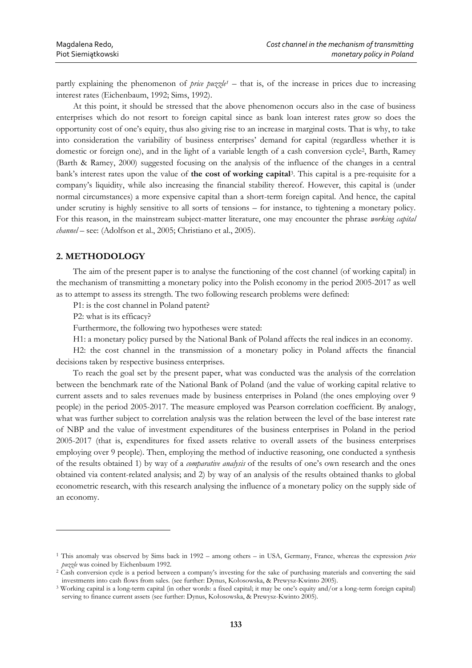partly explaining the phenomenon of *price puzzle<sup>1</sup>* – that is, of the increase in prices due to increasing interest rates (Eichenbaum, 1992; Sims, 1992).

At this point, it should be stressed that the above phenomenon occurs also in the case of business enterprises which do not resort to foreign capital since as bank loan interest rates grow so does the opportunity cost of one's equity, thus also giving rise to an increase in marginal costs. That is why, to take into consideration the variability of business enterprises' demand for capital (regardless whether it is domestic or foreign one), and in the light of a variable length of a cash conversion cycle<sup>2</sup>, Barth, Ramey (Barth & Ramey, 2000) suggested focusing on the analysis of the influence of the changes in a central bank's interest rates upon the value of the cost of working capital<sup>3</sup>. This capital is a pre-requisite for a company's liquidity, while also increasing the financial stability thereof. However, this capital is (under normal circumstances) a more expensive capital than a short-term foreign capital. And hence, the capital under scrutiny is highly sensitive to all sorts of tensions – for instance, to tightening a monetary policy. For this reason, in the mainstream subject-matter literature, one may encounter the phrase *working capital channel* – see: (Adolfson et al., 2005; Christiano et al., 2005).

## **2. METHODOLOGY**

The aim of the present paper is to analyse the functioning of the cost channel (of working capital) in the mechanism of transmitting a monetary policy into the Polish economy in the period 2005-2017 as well as to attempt to assess its strength. The two following research problems were defined:

P1: is the cost channel in Poland patent?

P2: what is its efficacy?

<u>.</u>

Furthermore, the following two hypotheses were stated:

H1: a monetary policy pursed by the National Bank of Poland affects the real indices in an economy.

H2: the cost channel in the transmission of a monetary policy in Poland affects the financial decisions taken by respective business enterprises.

To reach the goal set by the present paper, what was conducted was the analysis of the correlation between the benchmark rate of the National Bank of Poland (and the value of working capital relative to current assets and to sales revenues made by business enterprises in Poland (the ones employing over 9 people) in the period 2005-2017. The measure employed was Pearson correlation coefficient. By analogy, what was further subject to correlation analysis was the relation between the level of the base interest rate of NBP and the value of investment expenditures of the business enterprises in Poland in the period 2005-2017 (that is, expenditures for fixed assets relative to overall assets of the business enterprises employing over 9 people). Then, employing the method of inductive reasoning, one conducted a synthesis of the results obtained 1) by way of a *comparative analysis* of the results of one's own research and the ones obtained via content-related analysis; and 2) by way of an analysis of the results obtained thanks to global econometric research, with this research analysing the influence of a monetary policy on the supply side of an economy.

<sup>1</sup> This anomaly was observed by Sims back in 1992 – among others – in USA, Germany, France, whereas the expression *price puzzle* was coined by Eichenbaum 1992.

<sup>2</sup> Cash conversion cycle is a period between a company's investing for the sake of purchasing materials and converting the said investments into cash flows from sales. (see further: Dynus, Kołosowska, & Prewysz-Kwinto 2005).

<sup>3</sup> Working capital is a long-term capital (in other words: a fixed capital; it may be one's equity and/or a long-term foreign capital) serving to finance current assets (see further: Dynus, Kołosowska, & Prewysz-Kwinto 2005).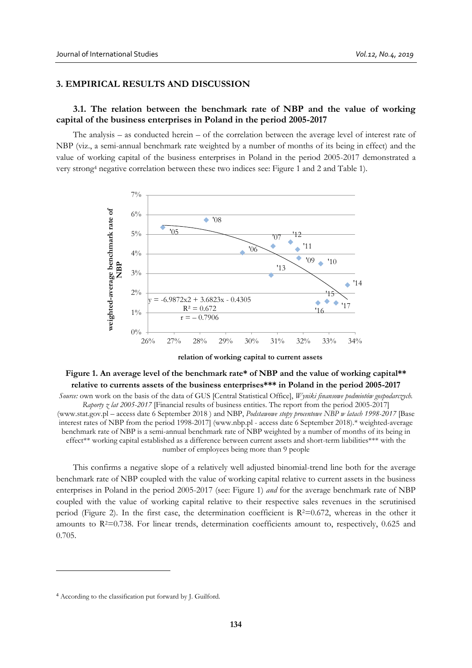## **3. EMPIRICAL RESULTS AND DISCUSSION**

## **3.1. The relation between the benchmark rate of NBP and the value of working capital of the business enterprises in Poland in the period 2005-2017**

The analysis – as conducted herein – of the correlation between the average level of interest rate of NBP (viz., a semi-annual benchmark rate weighted by a number of months of its being in effect) and the value of working capital of the business enterprises in Poland in the period 2005-2017 demonstrated a very strong<sup>4</sup> negative correlation between these two indices see: Figure 1 and 2 and Table 1).





## **Figure 1. An average level of the benchmark rate\* of NBP and the value of working capital\*\* relative to currents assets of the business enterprises\*\*\* in Poland in the period 2005-2017**

*Source:* own work on the basis of the data of GUS [Central Statistical Office], *Wyniki finansowe podmiotów gospodarczych. Raporty z lat 2005-2017* [Financial results of business entities. The report from the period 2005-2017] (www.stat.gov.pl – access date 6 September 2018 ) and NBP, *Podstawowe stopy procentowe NBP w latach 1998-2017* [Base interest rates of NBP from the period 1998-2017] (www.nbp.pl - access date 6 September 2018).\* weighted-average benchmark rate of NBP is a semi-annual benchmark rate of NBP weighted by a number of months of its being in effect\*\* working capital established as a difference between current assets and short-term liabilities\*\*\* with the number of employees being more than 9 people

This confirms a negative slope of a relatively well adjusted binomial-trend line both for the average benchmark rate of NBP coupled with the value of working capital relative to current assets in the business enterprises in Poland in the period 2005-2017 (see: Figure 1) *and* for the average benchmark rate of NBP coupled with the value of working capital relative to their respective sales revenues in the scrutinised period (Figure 2). In the first case, the determination coefficient is  $R^2=0.672$ , whereas in the other it amounts to  $R<sup>2</sup>=0.738$ . For linear trends, determination coefficients amount to, respectively, 0.625 and 0.705.

-

<sup>4</sup> According to the classification put forward by J. Guilford.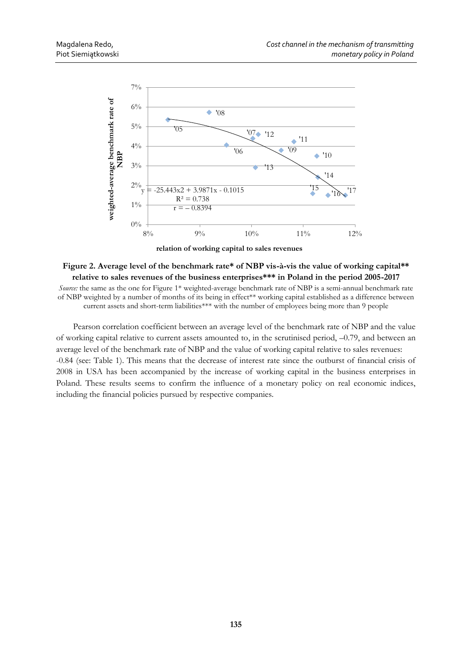

**relation of working capital to sales revenues**

## **Figure 2. Average level of the benchmark rate\* of NBP vis-à-vis the value of working capital\*\* relative to sales revenues of the business enterprises\*\*\* in Poland in the period 2005-2017**

*Source:* the same as the one for Figure 1\* weighted-average benchmark rate of NBP is a semi-annual benchmark rate of NBP weighted by a number of months of its being in effect\*\* working capital established as a difference between current assets and short-term liabilities\*\*\* with the number of employees being more than 9 people

Pearson correlation coefficient between an average level of the benchmark rate of NBP and the value of working capital relative to current assets amounted to, in the scrutinised period, –0.79, and between an average level of the benchmark rate of NBP and the value of working capital relative to sales revenues: -0.84 (see: Table 1). This means that the decrease of interest rate since the outburst of financial crisis of 2008 in USA has been accompanied by the increase of working capital in the business enterprises in Poland. These results seems to confirm the influence of a monetary policy on real economic indices, including the financial policies pursued by respective companies.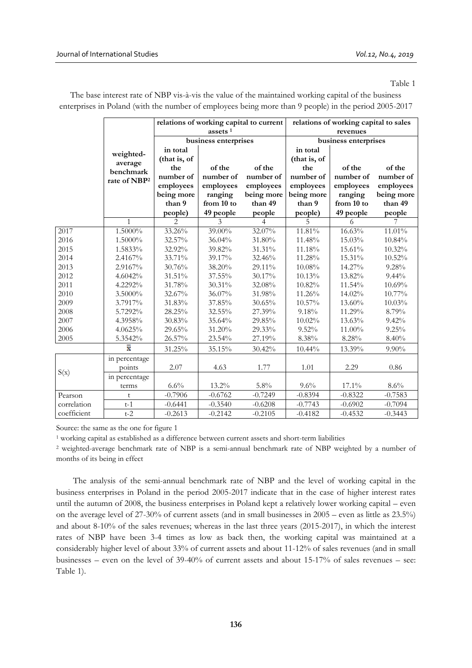Table 1

|             |                                                               | relations of working capital to current |            |                | relations of working capital to sales |            |            |
|-------------|---------------------------------------------------------------|-----------------------------------------|------------|----------------|---------------------------------------|------------|------------|
|             | weighted-<br>average<br>benchmark<br>rate of NBP <sup>2</sup> | assets $1$                              |            |                | revenues                              |            |            |
|             |                                                               | business enterprises                    |            |                | business enterprises                  |            |            |
|             |                                                               | in total                                |            |                | in total                              |            |            |
|             |                                                               | (that is, of                            |            |                | (that is, of                          |            |            |
|             |                                                               | the                                     | of the     | of the         | the                                   | of the     | of the     |
|             |                                                               | number of                               | number of  | number of      | number of                             | number of  | number of  |
|             |                                                               | employees                               | employees  | employees      | employees                             | employees  | employees  |
|             |                                                               | being more                              | ranging    | being more     | being more                            | ranging    | being more |
|             |                                                               | than 9                                  | from 10 to | than 49        | than 9                                | from 10 to | than 49    |
|             |                                                               | people)                                 | 49 people  | people         | people)                               | 49 people  | people     |
|             | 1                                                             | $\overline{2}$                          | 3          | $\overline{4}$ | 5                                     | 6          | 7          |
| 2017        | 1.5000%                                                       | 33.26%                                  | 39.00%     | 32.07%         | 11.81%                                | 16.63%     | 11.01%     |
| 2016        | 1.5000%                                                       | 32.57%                                  | 36.04%     | 31.80%         | 11.48%                                | 15.03%     | 10.84%     |
| 2015        | 1.5833%                                                       | 32.92%                                  | 39.82%     | 31.31%         | 11.18%                                | 15.61%     | 10.32%     |
| 2014        | 2.4167%                                                       | 33.71%                                  | 39.17%     | 32.46%         | 11.28%                                | 15.31%     | 10.52%     |
| 2013        | 2.9167%                                                       | 30.76%                                  | 38.20%     | 29.11%         | 10.08%                                | 14.27%     | 9.28%      |
| 2012        | 4.6042%                                                       | 31.51%                                  | 37.55%     | 30.17%         | 10.13%                                | 13.82%     | $9.44\%$   |
| 2011        | 4.2292%                                                       | 31.78%                                  | 30.31%     | 32.08%         | 10.82%                                | 11.54%     | 10.69%     |
| 2010        | $3.5000\%$                                                    | 32.67%                                  | 36.07%     | 31.98%         | 11.26%                                | 14.02%     | 10.77%     |
| 2009        | 3.7917%                                                       | 31.83%                                  | 37.85%     | 30.65%         | 10.57%                                | 13.60%     | 10.03%     |
| 2008        | 5.7292%                                                       | 28.25%                                  | 32.55%     | 27.39%         | 9.18%                                 | 11.29%     | 8.79%      |
| 2007        | 4.3958%                                                       | 30.83%                                  | 35.64%     | 29.85%         | 10.02%                                | 13.63%     | 9.42%      |
| 2006        | 4.0625%                                                       | 29.65%                                  | 31.20%     | 29.33%         | $9.52\%$                              | 11.00%     | 9.25%      |
| 2005        | 5.3542%                                                       | 26.57%                                  | 23.54%     | 27.19%         | 8.38%                                 | 8.28%      | 8.40%      |
|             | x                                                             | 31.25%                                  | 35.15%     | 30.42%         | 10.44%                                | 13.39%     | $9.90\%$   |
|             | in percentage                                                 |                                         |            |                |                                       |            |            |
|             | points                                                        | 2.07                                    | 4.63       | 1.77           | 1.01                                  | 2.29       | 0.86       |
| $S(x)$      | in percentage                                                 |                                         |            |                |                                       |            |            |
|             | terms                                                         | 6.6%                                    | 13.2%      | 5.8%           | $9.6\%$                               | 17.1%      | 8.6%       |
| Pearson     | t                                                             | $-0.7906$                               | $-0.6762$  | $-0.7249$      | $-0.8394$                             | $-0.8322$  | $-0.7583$  |
| correlation | $t-1$                                                         | $-0.6441$                               | $-0.3540$  | $-0.6208$      | $-0.7743$                             | $-0.6902$  | $-0.7094$  |
| coefficient | $t-2$                                                         | $-0.2613$                               | $-0.2142$  | $-0.2105$      | $-0.4182$                             | $-0.4532$  | $-0.3443$  |

The base interest rate of NBP vis-à-vis the value of the maintained working capital of the business enterprises in Poland (with the number of employees being more than 9 people) in the period 2005-2017

Source: the same as the one for figure 1

<sup>1</sup> working capital as established as a difference between current assets and short-term liabilities

<sup>2</sup> weighted-average benchmark rate of NBP is a semi-annual benchmark rate of NBP weighted by a number of months of its being in effect

The analysis of the semi-annual benchmark rate of NBP and the level of working capital in the business enterprises in Poland in the period 2005-2017 indicate that in the case of higher interest rates until the autumn of 2008, the business enterprises in Poland kept a relatively lower working capital – even on the average level of 27-30% of current assets (and in small businesses in 2005 – even as little as 23.5%) and about 8-10% of the sales revenues; whereas in the last three years (2015-2017), in which the interest rates of NBP have been 3-4 times as low as back then, the working capital was maintained at a considerably higher level of about 33% of current assets and about 11-12% of sales revenues (and in small businesses – even on the level of 39-40% of current assets and about 15-17% of sales revenues – see: Table 1).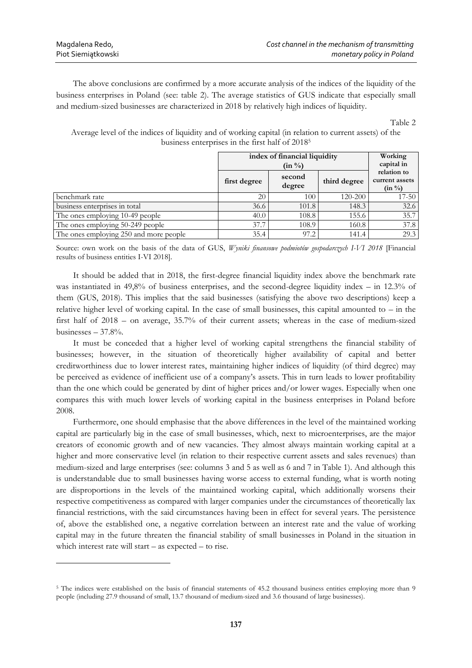<u>.</u>

The above conclusions are confirmed by a more accurate analysis of the indices of the liquidity of the business enterprises in Poland (see: table 2). The average statistics of GUS indicate that especially small and medium-sized businesses are characterized in 2018 by relatively high indices of liquidity.

Table 2

Average level of the indices of liquidity and of working capital (in relation to current assets) of the business enterprises in the first half of 2018<sup>5</sup>

|                                        | index of financial liquidity<br>$(in \frac{0}{0})$ |                  |              | Working<br>capital in                               |  |
|----------------------------------------|----------------------------------------------------|------------------|--------------|-----------------------------------------------------|--|
|                                        | first degree                                       | second<br>degree | third degree | relation to<br>current assets<br>$(in \frac{0}{0})$ |  |
| benchmark rate                         | 20                                                 | 100              | 120-200      | $17 - 50$                                           |  |
| business enterprises in total          | 36.6                                               | 101.8            | 148.3        | 32.6                                                |  |
| The ones employing 10-49 people        | 40.0                                               | 108.8            | 155.6        | 35.7                                                |  |
| The ones employing 50-249 people       | 37.7                                               | 108.9            | 160.8        | 37.8                                                |  |
| The ones employing 250 and more people | 35.4                                               | 97.2             | 141.4        | 29.3                                                |  |

Source: own work on the basis of the data of GUS, *Wyniki finansowe podmiotów gospodarczych I-VI 2018* [Financial results of business entities I-VI 2018].

It should be added that in 2018, the first-degree financial liquidity index above the benchmark rate was instantiated in 49,8% of business enterprises, and the second-degree liquidity index – in 12.3% of them (GUS, 2018). This implies that the said businesses (satisfying the above two descriptions) keep a relative higher level of working capital. In the case of small businesses, this capital amounted to – in the first half of 2018 – on average, 35.7% of their current assets; whereas in the case of medium-sized businesses  $-37.8%$ .

It must be conceded that a higher level of working capital strengthens the financial stability of businesses; however, in the situation of theoretically higher availability of capital and better creditworthiness due to lower interest rates, maintaining higher indices of liquidity (of third degree) may be perceived as evidence of inefficient use of a company's assets. This in turn leads to lower profitability than the one which could be generated by dint of higher prices and/or lower wages. Especially when one compares this with much lower levels of working capital in the business enterprises in Poland before 2008.

Furthermore, one should emphasise that the above differences in the level of the maintained working capital are particularly big in the case of small businesses, which, next to microenterprises, are the major creators of economic growth and of new vacancies. They almost always maintain working capital at a higher and more conservative level (in relation to their respective current assets and sales revenues) than medium-sized and large enterprises (see: columns 3 and 5 as well as 6 and 7 in Table 1). And although this is understandable due to small businesses having worse access to external funding, what is worth noting are disproportions in the levels of the maintained working capital, which additionally worsens their respective competitiveness as compared with larger companies under the circumstances of theoretically lax financial restrictions, with the said circumstances having been in effect for several years. The persistence of, above the established one, a negative correlation between an interest rate and the value of working capital may in the future threaten the financial stability of small businesses in Poland in the situation in which interest rate will start – as expected – to rise.

<sup>&</sup>lt;sup>5</sup> The indices were established on the basis of financial statements of 45.2 thousand business entities employing more than 9 people (including 27.9 thousand of small, 13.7 thousand of medium-sized and 3.6 thousand of large businesses).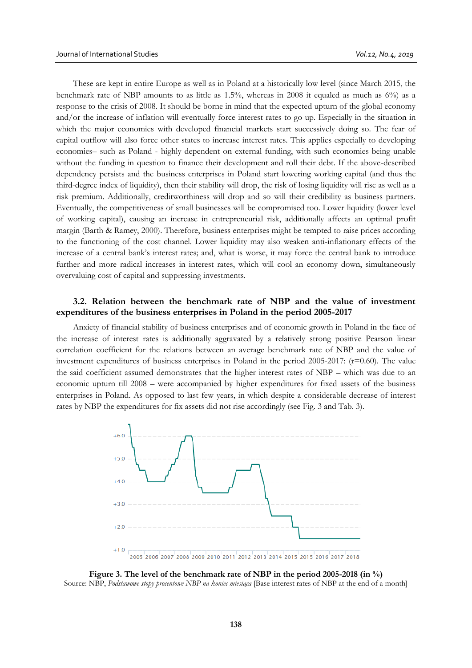These are kept in entire Europe as well as in Poland at a historically low level (since March 2015, the benchmark rate of NBP amounts to as little as 1.5%, whereas in 2008 it equaled as much as 6%) as a response to the crisis of 2008. It should be borne in mind that the expected upturn of the global economy and/or the increase of inflation will eventually force interest rates to go up. Especially in the situation in which the major economies with developed financial markets start successively doing so. The fear of capital outflow will also force other states to increase interest rates. This applies especially to developing economies– such as Poland - highly dependent on external funding, with such economies being unable without the funding in question to finance their development and roll their debt. If the above-described dependency persists and the business enterprises in Poland start lowering working capital (and thus the third-degree index of liquidity), then their stability will drop, the risk of losing liquidity will rise as well as a risk premium. Additionally, creditworthiness will drop and so will their credibility as business partners. Eventually, the competitiveness of small businesses will be compromised too. Lower liquidity (lower level of working capital), causing an increase in entrepreneurial risk, additionally affects an optimal profit margin (Barth & Ramey, 2000). Therefore, business enterprises might be tempted to raise prices according to the functioning of the cost channel. Lower liquidity may also weaken anti-inflationary effects of the increase of a central bank's interest rates; and, what is worse, it may force the central bank to introduce further and more radical increases in interest rates, which will cool an economy down, simultaneously overvaluing cost of capital and suppressing investments.

## **3.2. Relation between the benchmark rate of NBP and the value of investment expenditures of the business enterprises in Poland in the period 2005-2017**

Anxiety of financial stability of business enterprises and of economic growth in Poland in the face of the increase of interest rates is additionally aggravated by a relatively strong positive Pearson linear correlation coefficient for the relations between an average benchmark rate of NBP and the value of investment expenditures of business enterprises in Poland in the period 2005-2017:  $(r=0.60)$ . The value the said coefficient assumed demonstrates that the higher interest rates of NBP – which was due to an economic upturn till 2008 – were accompanied by higher expenditures for fixed assets of the business enterprises in Poland. As opposed to last few years, in which despite a considerable decrease of interest rates by NBP the expenditures for fix assets did not rise accordingly (see Fig. 3 and Tab. 3).



**Figure 3. The level of the benchmark rate of NBP in the period 2005-2018 (in %)** Source: NBP, *Podstawowe stopy procentowe NBP na koniec miesiąca* [Base interest rates of NBP at the end of a month]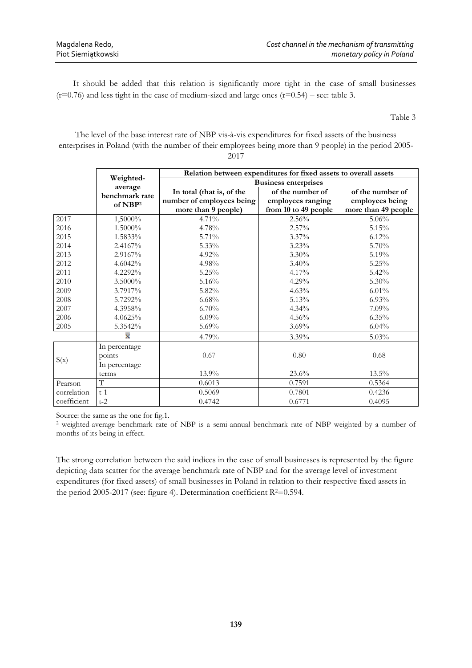It should be added that this relation is significantly more tight in the case of small businesses  $(r=0.76)$  and less tight in the case of medium-sized and large ones  $(r=0.54)$  – see: table 3.

Table 3

The level of the base interest rate of NBP vis-à-vis expenditures for fixed assets of the business enterprises in Poland (with the number of their employees being more than 9 people) in the period 2005- 2017

|             |                                        | Relation between expenditures for fixed assets to overall assets              |                                                               |                                                            |  |  |  |
|-------------|----------------------------------------|-------------------------------------------------------------------------------|---------------------------------------------------------------|------------------------------------------------------------|--|--|--|
|             | Weighted-                              | <b>Business enterprises</b>                                                   |                                                               |                                                            |  |  |  |
|             | average<br>benchmark rate<br>of $NBP2$ | In total (that is, of the<br>number of employees being<br>more than 9 people) | of the number of<br>employees ranging<br>from 10 to 49 people | of the number of<br>employees being<br>more than 49 people |  |  |  |
| 2017        | 1,5000%                                | $4.71\%$                                                                      | $2.56\%$                                                      | $5.06\%$                                                   |  |  |  |
| 2016        | 1.5000%                                | 4.78%                                                                         | $2.57\%$                                                      | 5.15%                                                      |  |  |  |
| 2015        | 1.5833%                                | 5.71%                                                                         | $3.37\%$                                                      | 6.12%                                                      |  |  |  |
| 2014        | 2.4167%                                | $5.33\%$                                                                      | 3.23%                                                         | $5.70\%$                                                   |  |  |  |
| 2013        | 2.9167%                                | $4.92\%$                                                                      | $3.30\%$                                                      | 5.19%                                                      |  |  |  |
| 2012        | 4.6042%                                | $4.98\%$                                                                      | $3.40\%$                                                      | 5.25%                                                      |  |  |  |
| 2011        | 4.2292%                                | 5.25%                                                                         | 4.17%                                                         | 5.42%                                                      |  |  |  |
| 2010        | 3.5000%                                | 5.16%                                                                         | 4.29%                                                         | 5.30%                                                      |  |  |  |
| 2009        | 3.7917%                                | 5.82%                                                                         | 4.63%                                                         | $6.01\%$                                                   |  |  |  |
| 2008        | 5.7292%                                | $6.68\%$                                                                      | 5.13%                                                         | $6.93\%$                                                   |  |  |  |
| 2007        | 4.3958%                                | $6.70\%$                                                                      | $4.34\%$                                                      | $7.09\%$                                                   |  |  |  |
| 2006        | 4.0625%                                | $6.09\%$                                                                      | 4.56%                                                         | 6.35%                                                      |  |  |  |
| 2005        | 5.3542%                                | 5.69%                                                                         | 3.69%                                                         | 6.04%                                                      |  |  |  |
|             | x                                      | 4.79%                                                                         | 3.39%                                                         | 5.03%                                                      |  |  |  |
| S(x)        | In percentage                          |                                                                               |                                                               |                                                            |  |  |  |
|             | points                                 | 0.67                                                                          | 0.80                                                          | 0.68                                                       |  |  |  |
|             | In percentage                          |                                                                               |                                                               |                                                            |  |  |  |
|             | terms                                  | 13.9%                                                                         | $23.6\%$                                                      | $13.5\%$                                                   |  |  |  |
| Pearson     | $\mathbf T$                            | 0.6013                                                                        | 0.7591                                                        | 0.5364                                                     |  |  |  |
| correlation | $t-1$                                  | 0.5069                                                                        | 0.7801                                                        | 0.4236                                                     |  |  |  |
| coefficient | $t-2$                                  | 0.4742                                                                        | 0.6771                                                        | 0.4095                                                     |  |  |  |

Source: the same as the one for fig.1.

<sup>2</sup> weighted-average benchmark rate of NBP is a semi-annual benchmark rate of NBP weighted by a number of months of its being in effect.

The strong correlation between the said indices in the case of small businesses is represented by the figure depicting data scatter for the average benchmark rate of NBP and for the average level of investment expenditures (for fixed assets) of small businesses in Poland in relation to their respective fixed assets in the period 2005-2017 (see: figure 4). Determination coefficient  $R^2=0.594$ .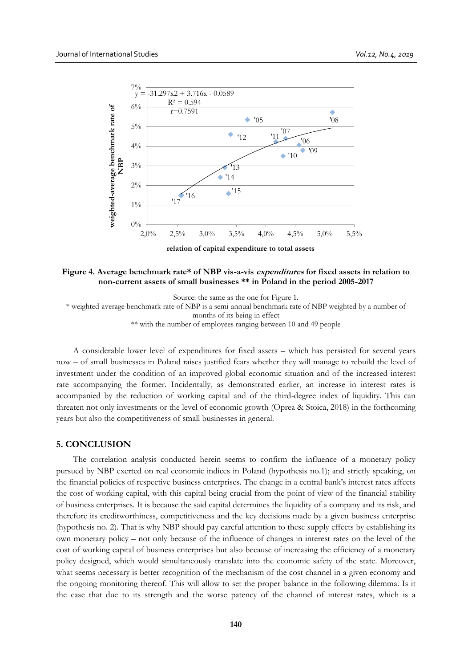

**Figure 4. Average benchmark rate\* of NBP vis-a-vis expenditures for fixed assets in relation to non-current assets of small businesses \*\* in Poland in the period 2005-2017**

Source: the same as the one for Figure 1.

\* weighted-average benchmark rate of NBP is a semi-annual benchmark rate of NBP weighted by a number of

months of its being in effect

\*\* with the number of employees ranging between 10 and 49 people

A considerable lower level of expenditures for fixed assets – which has persisted for several years now – of small businesses in Poland raises justified fears whether they will manage to rebuild the level of investment under the condition of an improved global economic situation and of the increased interest rate accompanying the former. Incidentally, as demonstrated earlier, an increase in interest rates is accompanied by the reduction of working capital and of the third-degree index of liquidity. This can threaten not only investments or the level of economic growth (Oprea & Stoica, 2018) in the forthcoming years but also the competitiveness of small businesses in general.

#### **5. CONCLUSION**

The correlation analysis conducted herein seems to confirm the influence of a monetary policy pursued by NBP exerted on real economic indices in Poland (hypothesis no.1); and strictly speaking, on the financial policies of respective business enterprises. The change in a central bank's interest rates affects the cost of working capital, with this capital being crucial from the point of view of the financial stability of business enterprises. It is because the said capital determines the liquidity of a company and its risk, and therefore its creditworthiness, competitiveness and the key decisions made by a given business enterprise (hypothesis no. 2). That is why NBP should pay careful attention to these supply effects by establishing its own monetary policy – not only because of the influence of changes in interest rates on the level of the cost of working capital of business enterprises but also because of increasing the efficiency of a monetary policy designed, which would simultaneously translate into the economic safety of the state. Moreover, what seems necessary is better recognition of the mechanism of the cost channel in a given economy and the ongoing monitoring thereof. This will allow to set the proper balance in the following dilemma. Is it the case that due to its strength and the worse patency of the channel of interest rates, which is a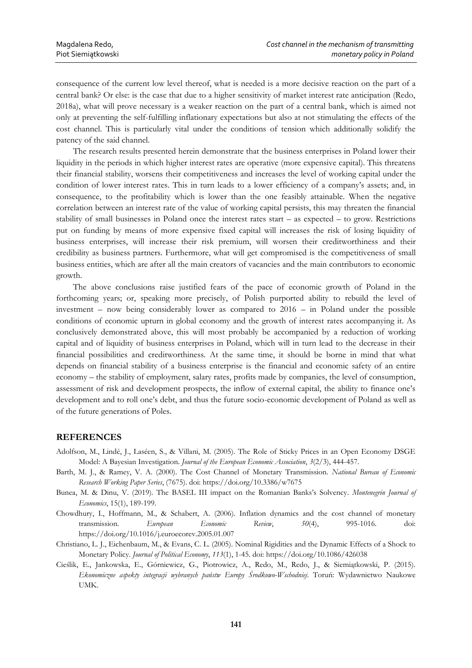consequence of the current low level thereof, what is needed is a more decisive reaction on the part of a central bank? Or else: is the case that due to a higher sensitivity of market interest rate anticipation (Redo, 2018a), what will prove necessary is a weaker reaction on the part of a central bank, which is aimed not only at preventing the self-fulfilling inflationary expectations but also at not stimulating the effects of the cost channel. This is particularly vital under the conditions of tension which additionally solidify the patency of the said channel.

The research results presented herein demonstrate that the business enterprises in Poland lower their liquidity in the periods in which higher interest rates are operative (more expensive capital). This threatens their financial stability, worsens their competitiveness and increases the level of working capital under the condition of lower interest rates. This in turn leads to a lower efficiency of a company's assets; and, in consequence, to the profitability which is lower than the one feasibly attainable. When the negative correlation between an interest rate of the value of working capital persists, this may threaten the financial stability of small businesses in Poland once the interest rates start – as expected – to grow. Restrictions put on funding by means of more expensive fixed capital will increases the risk of losing liquidity of business enterprises, will increase their risk premium, will worsen their creditworthiness and their credibility as business partners. Furthermore, what will get compromised is the competitiveness of small business entities, which are after all the main creators of vacancies and the main contributors to economic growth.

The above conclusions raise justified fears of the pace of economic growth of Poland in the forthcoming years; or, speaking more precisely, of Polish purported ability to rebuild the level of investment – now being considerably lower as compared to 2016 – in Poland under the possible conditions of economic upturn in global economy and the growth of interest rates accompanying it. As conclusively demonstrated above, this will most probably be accompanied by a reduction of working capital and of liquidity of business enterprises in Poland, which will in turn lead to the decrease in their financial possibilities and creditworthiness. At the same time, it should be borne in mind that what depends on financial stability of a business enterprise is the financial and economic safety of an entire economy – the stability of employment, salary rates, profits made by companies, the level of consumption, assessment of risk and development prospects, the inflow of external capital, the ability to finance one's development and to roll one's debt, and thus the future socio-economic development of Poland as well as of the future generations of Poles.

#### **REFERENCES**

- Adolfson, M., Lindé, J., Laséen, S., & Villani, M. (2005). The Role of Sticky Prices in an Open Economy DSGE Model: A Bayesian Investigation. *Journal of the European Economic Association*, *3*(2/3), 444-457.
- Barth, M. J., & Ramey, V. A. (2000). The Cost Channel of Monetary Transmission. *National Bureau of Economic Research Working Paper Series*, (7675). doi: https://doi.org/10.3386/w7675
- Bunea, M. & Dinu, V. (2019). The BASEL III impact on the Romanian Banks's Solvency. *Montenegrin Journal of Economics*, 15(1), 189-199.
- Chowdhury, I., Hoffmann, M., & Schabert, A. (2006). Inflation dynamics and the cost channel of monetary transmission. *European Economic Review*, *50*(4), 995-1016. doi: https://doi.org/10.1016/j.euroecorev.2005.01.007
- Christiano, L. J., Eichenbaum, M., & Evans, C. L. (2005). Nominal Rigidities and the Dynamic Effects of a Shock to Monetary Policy. *Journal of Political Economy*, *113*(1), 1-45. doi: https://doi.org/10.1086/426038
- Cieślik, E., Jankowska, E., Górniewicz, G., Piotrowicz, A., Redo, M., Redo, J., & Siemiątkowski, P. (2015). *Ekonomiczne aspekty integracji wybranych państw Europy Środkowo-Wschodniej*. Toruń: Wydawnictwo Naukowe UMK.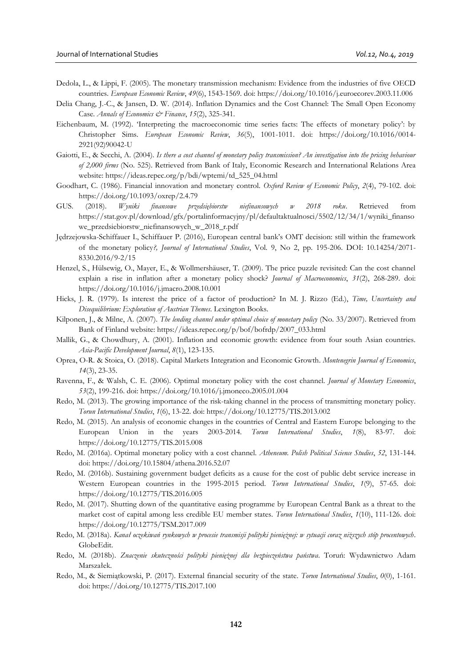- Dedola, L., & Lippi, F. (2005). The monetary transmission mechanism: Evidence from the industries of five OECD countries. *European Economic Review*, *49*(6), 1543-1569. doi: https://doi.org/10.1016/j.euroecorev.2003.11.006
- Delia Chang, J.-C., & Jansen, D. W. (2014). Inflation Dynamics and the Cost Channel: The Small Open Economy Case. *Annals of Economics & Finance*, *15*(2), 325-341.
- Eichenbaum, M. (1992). 'Interpreting the macroeconomic time series facts: The effects of monetary policy': by Christopher Sims. *European Economic Review*, *36*(5), 1001-1011. doi: https://doi.org/10.1016/0014- 2921(92)90042-U
- Gaiotti, E., & Secchi, A. (2004). *Is there a cost channel of monetary policy transmission? An investigation into the pricing behaviour of 2,000 firms* (No. 525). Retrieved from Bank of Italy, Economic Research and International Relations Area website: https://ideas.repec.org/p/bdi/wptemi/td\_525\_04.html
- Goodhart, C. (1986). Financial innovation and monetary control. *Oxford Review of Economic Policy*, *2*(4), 79-102. doi: https://doi.org/10.1093/oxrep/2.4.79
- GUS. (2018). *Wyniki finansowe przedsiębiorstw niefinansowych w 2018 roku*. Retrieved from https://stat.gov.pl/download/gfx/portalinformacyjny/pl/defaultaktualnosci/5502/12/34/1/wyniki\_finanso we\_przedsiebiorstw\_niefinansowych\_w\_2018\_r.pdf
- Jędrzejowska-Schiffauer I., Schiffauer P. (2016), European central bank's OMT decision: still within the framework of the monetary policy*?, Journal of International Studies*, Vol. 9, No 2, pp. 195-206. DOI: 10.14254/2071- 8330.2016/9-2/15
- Henzel, S., Hülsewig, O., Mayer, E., & Wollmershäuser, T. (2009). The price puzzle revisited: Can the cost channel explain a rise in inflation after a monetary policy shock? *Journal of Macroeconomics*, *31*(2), 268-289. doi: https://doi.org/10.1016/j.jmacro.2008.10.001
- Hicks, J. R. (1979). Is interest the price of a factor of production? In M. J. Rizzo (Ed.), *Time, Uncertainty and Disequilibrium: Exploration of Austrian Themes*. Lexington Books.
- Kilponen, J., & Milne, A. (2007). *The lending channel under optimal choice of monetary policy* (No. 33/2007). Retrieved from Bank of Finland website: https://ideas.repec.org/p/bof/bofrdp/2007\_033.html
- Mallik, G., & Chowdhury, A. (2001). Inflation and economic growth: evidence from four south Asian countries. *Asia-Pacific Development Journal*, *8*(1), 123-135.
- Oprea, O-R. & Stoica, O. (2018). Capital Markets Integration and Economic Growth. *Montenegrin Journal of Economics*, *14*(3), 23-35.
- Ravenna, F., & Walsh, C. E. (2006). Optimal monetary policy with the cost channel. *Journal of Monetary Economics*, *53*(2), 199-216. doi: https://doi.org/10.1016/j.jmoneco.2005.01.004
- Redo, M. (2013). The growing importance of the risk-taking channel in the process of transmitting monetary policy. *Torun International Studies*, *1*(6), 13-22. doi: https://doi.org/10.12775/TIS.2013.002
- Redo, M. (2015). An analysis of economic changes in the countries of Central and Eastern Europe belonging to the European Union in the years 2003-2014. *Torun International Studies*, *1*(8), 83-97. doi: https://doi.org/10.12775/TIS.2015.008
- Redo, M. (2016a). Optimal monetary policy with a cost channel. *Atheneum. Polish Political Science Studies*, *52*, 131-144. doi: https://doi.org/10.15804/athena.2016.52.07
- Redo, M. (2016b). Sustaining government budget deficits as a cause for the cost of public debt service increase in Western European countries in the 1995-2015 period. *Torun International Studies*, *1*(9), 57-65. doi: https://doi.org/10.12775/TIS.2016.005
- Redo, M. (2017). Shutting down of the quantitative easing programme by European Central Bank as a threat to the market cost of capital among less credible EU member states. *Torun International Studies*, *1*(10), 111-126. doi: https://doi.org/10.12775/TSM.2017.009
- Redo, M. (2018a). *Kanał oczekiwań rynkowych w procesie transmisji polityki pieniężnej: w sytuacji coraz niższych stóp procentowych*. GlobeEdit.
- Redo, M. (2018b). *Znaczenie skuteczności polityki pieniężnej dla bezpieczeństwa państwa*. Toruń: Wydawnictwo Adam Marszałek.
- Redo, M., & Siemiątkowski, P. (2017). External financial security of the state. *Torun International Studies*, *0*(0), 1-161. doi: https://doi.org/10.12775/TIS.2017.100